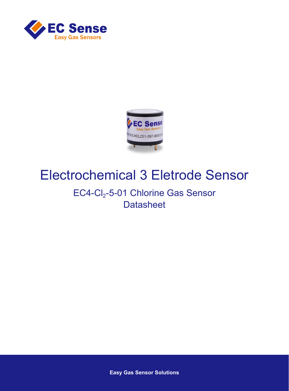



# Electrochemical 3 Eletrode Sensor

## EC4-Cl<sub>2</sub>-5-01 Chlorine Gas Sensor **Datasheet**

**Easy Gas Sensor Solutions**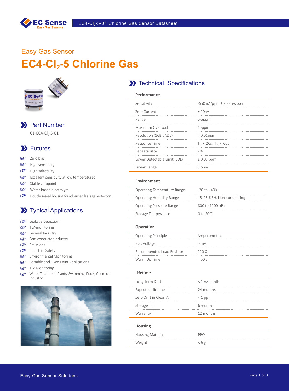

## Easy Gas Sensor **EC4-Cl<sub>2</sub>-5 Chlorine Gas**



## >> Part Number

 $01 - EC4-C1 -5-01$ 

## **XX** Futures

- $\mathbb{F}$ Zero bias
- $\mathbb{Q}$ High sensitivity
- High selectivity  $\mathbb{Q}$
- Excellent sensitivity at low temperatures  $\mathbb{Q}$
- $\mathbb{F}$ Stable zeropoint
- Water based electrolyte
- $\mathbb{Q}$ Double sealed housing for advanced leakage protection

## **XX** Typical Applications

- **Leakage Detection**
- TLV-monitoring  $\mathbb{F}$
- General Industry
- Semiconductor Industry
- **Emissions**
- Industrial Safety
- Environmental Monitoring
- Portable and Fixed Point Applications
- GP TLV Monitoring
- Water Treatment, Plants, Swimming, Pools, Chemical  $\mathbb{F}$ Industry



### **X** Technical Specifications

| Performance                  |                                |
|------------------------------|--------------------------------|
| Sensitivity                  | $-650$ nA/ppm $\pm$ 200 nA/ppm |
| Zero Current                 | $+20nA$                        |
| Range                        | $0-5$ ppm                      |
| Maximum Overload             | 10ppm                          |
| Resolution (16Bit ADC)       | $< 0.01$ ppm                   |
| Response Time                | $T_{50}$ < 20s, $T_{90}$ < 60s |
| Repeatability                | 2%                             |
| Lower Detectable Limit (LDL) | $\leq 0.05$ ppm                |
| Linear Range                 | 5 ppm                          |
|                              |                                |

#### **Environment**

| Operating Temperature Range     | $-20$ to $+40^{\circ}$ C  |
|---------------------------------|---------------------------|
| <b>Operating Humidity Range</b> | 15-95 %RH. Non-condensing |
| <b>Operating Pressure Range</b> | 800 to 1200 hPa           |
| Storage Temperature             | 0 to $20^{\circ}$ C       |

#### **Operation**

| <b>Operating Principle</b> | Amperometric   |
|----------------------------|----------------|
| Bias Voltage               | $0 \text{ mV}$ |
| Recommended Load Resistor  | 2200           |
| Warm Up Time               | $<$ 60 s       |

#### **Lifetime**

| Long-Term Drift          | <1%/month |
|--------------------------|-----------|
| <b>Expected Lifetime</b> | 24 months |
| Zero Drift in Clean Air  | $<$ 1 ppm |
| Storage Life             | 6 months  |
| Warranty                 | 12 months |
| <b>Housing</b>           |           |
| Housing Material         | PPO       |
| Weight                   | < 6 g     |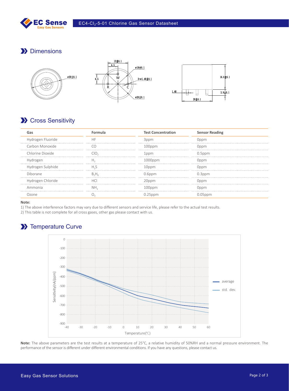

## **Dimensions**



## **XX** Cross Sensitivity

|                   |    | <b>Test Concentration</b> | <b>Sensor Reading</b> |
|-------------------|----|---------------------------|-----------------------|
| Hydrogen Fluoride |    |                           |                       |
| Carbon Monoxide   |    | (10000                    | Dnnm)                 |
| Chlorine Dioxide  |    |                           | 0.5ppm                |
|                   |    | $000$ ppm                 |                       |
| Hydrogen Sulphide |    |                           | :)nnm                 |
| Diborane          |    | 0.6ppm                    |                       |
| Hydrogen Chloride |    |                           |                       |
| Ammonia           | NΗ |                           |                       |
|                   |    |                           |                       |

#### **Note:**

1) The above interference factors may vary due to different sensors and service life, please refer to the actual test results.

2) This table is not complete for all cross gases, other gas please contact with us.

## **XX** Temperature Curve



**Note:** The above parameters are the test results at a temperature of 25°C, a relative humidity of 50%RH and a normal pressure environment. The performance of the sensor is different under different environmental conditions. If you have any questions, please contact us.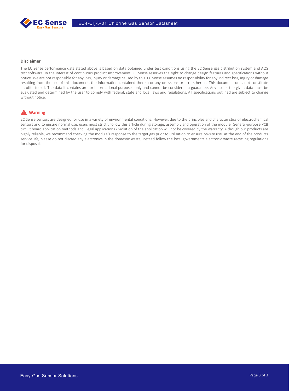

#### **Disclaimer**

The EC Sense performance data stated above is based on data obtained under test conditions using the EC Sense gas distribution system and AQS test software. In the interest of continuous product improvement, EC Sense reserves the right to change design features and specifications without notice. We are not responsible for any loss, injury or damage caused by this. EC Sense assumes no responsibility for any indirect loss, injury or damage resulting from the use of this document, the information contained therein or any omissions or errors herein. This document does not constitute an offer to sell. The data it contains are for informational purposes only and cannot be considered a guarantee. Any use of the given data must be evaluated and determined by the user to comply with federal, state and local laws and regulations. All specifications outlined are subject to change without notice.

### **A** Warning

EC Sense sensors are designed for use in a variety of environmental conditions. However, due to the principles and characteristics of electrochemical sensors and to ensure normal use, users must strictly follow this article during storage, assembly and operation of the module. General-purpose PCB circuit board application methods and illegal applications / violation of the application will not be covered by the warranty. Although our products are highly reliable, we recommend checking the module's response to the target gas prior to utilization to ensure on-site use. At the end of the products service life, please do not discard any electronics in the domestic waste, instead follow the local governments electronic waste recycling regulations for disposal.